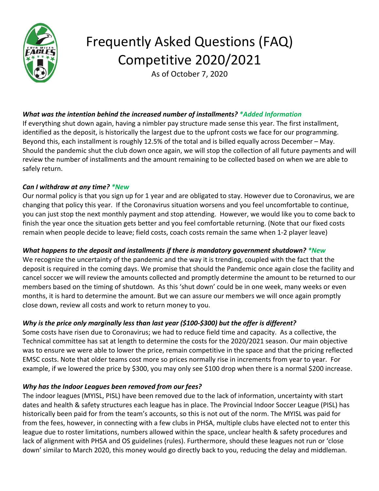

# Frequently Asked Questions (FAQ) Competitive 2020/2021

As of October 7, 2020

## *What was the intention behind the increased number of installments? \*Added Information*

If everything shut down again, having a nimbler pay structure made sense this year. The first installment, identified as the deposit, is historically the largest due to the upfront costs we face for our programming. Beyond this, each installment is roughly 12.5% of the total and is billed equally across December – May. Should the pandemic shut the club down once again, we will stop the collection of all future payments and will review the number of installments and the amount remaining to be collected based on when we are able to safely return.

### *Can I withdraw at any time? \*New*

Our normal policy is that you sign up for 1 year and are obligated to stay. However due to Coronavirus, we are changing that policy this year. If the Coronavirus situation worsens and you feel uncomfortable to continue, you can just stop the next monthly payment and stop attending. However, we would like you to come back to finish the year once the situation gets better and you feel comfortable returning. (Note that our fixed costs remain when people decide to leave; field costs, coach costs remain the same when 1-2 player leave)

## *What happens to the deposit and installments if there is mandatory government shutdown? \*New*

We recognize the uncertainty of the pandemic and the way it is trending, coupled with the fact that the deposit is required in the coming days. We promise that should the Pandemic once again close the facility and cancel soccer we will review the amounts collected and promptly determine the amount to be returned to our members based on the timing of shutdown. As this 'shut down' could be in one week, many weeks or even months, it is hard to determine the amount. But we can assure our members we will once again promptly close down, review all costs and work to return money to you.

## *Why is the price only marginally less than last year (\$100-\$300) but the offer is different?*

Some costs have risen due to Coronavirus; we had to reduce field time and capacity. As a collective, the Technical committee has sat at length to determine the costs for the 2020/2021 season. Our main objective was to ensure we were able to lower the price, remain competitive in the space and that the pricing reflected EMSC costs. Note that older teams cost more so prices normally rise in increments from year to year. For example, if we lowered the price by \$300, you may only see \$100 drop when there is a normal \$200 increase.

## *Why has the Indoor Leagues been removed from our fees?*

The indoor leagues (MYISL, PISL) have been removed due to the lack of information, uncertainty with start dates and health & safety structures each league has in place. The Provincial Indoor Soccer League (PISL) has historically been paid for from the team's accounts, so this is not out of the norm. The MYISL was paid for from the fees, however, in connecting with a few clubs in PHSA, multiple clubs have elected not to enter this league due to roster limitations, numbers allowed within the space, unclear health & safety procedures and lack of alignment with PHSA and OS guidelines (rules). Furthermore, should these leagues not run or 'close down' similar to March 2020, this money would go directly back to you, reducing the delay and middleman.